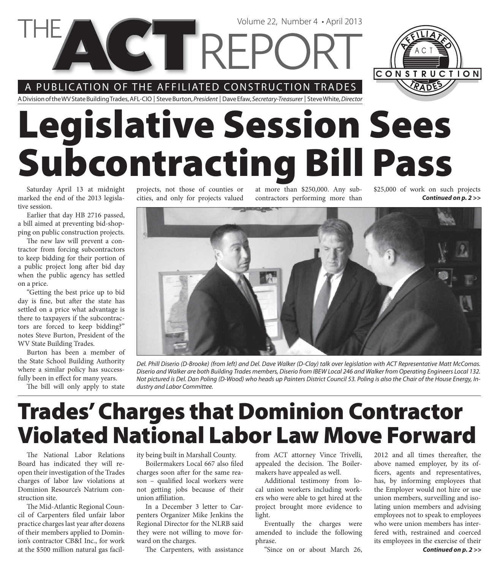#### A PUBLICATION OF THE AFFILIATED CONSTRUCTION TRADES

**CETRE** 

A Division of the WV State Building Trades, AFL-CIO | Steve Burton, President | Dave Efaw, Secretary-Treasurer | Steve White, Director

# **Legislative Session Sees Subcontracting Bill Pass**

Saturday April 13 at midnight marked the end of the 2013 legislative session.

Earlier that day HB 2716 passed, a bill aimed at preventing bid-shopping on public construction projects.

The new law will prevent a contractor from forcing subcontractors to keep bidding for their portion of a public project long after bid day when the public agency has settled on a price.

"Getting the best price up to bid day is fine, but after the state has settled on a price what advantage is there to taxpayers if the subcontractors are forced to keep bidding?" notes Steve Burton, President of the WV State Building Trades.

Burton has been a member of the State School Building Authority where a similar policy has successfully been in effect for many years.

The bill will only apply to state

projects, not those of counties or cities, and only for projects valued

at more than \$250,000. Any subcontractors performing more than

Volume 22, Number 4 • April 2013

*Continued on p. 2 >>* \$25,000 of work on such projects

CONSTRUCTION



Del. Phill Diserio (D-Brooke) (from left) and Del. Dave Walker (D-Clay) talk over legislation with ACT Representative Matt McComas. Diserio and Walker are both Building Trades members, Diserio from IBEW Local 246 and Walker from Operating Engineers Local 132. Not pictured is Del. Dan Poling (D-Wood) who heads up Painters District Council 53. Poling is also the Chair of the House Energy, Industry and Labor Committee.

## **Trades' Charges that Dominion Contractor Violated National Labor Law Move Forward**

The National Labor Relations Board has indicated they will reopen their investigation of the Trades charges of labor law violations at Dominion Resource's Natrium construction site.

The Mid-Atlantic Regional Council of Carpenters filed unfair labor practice charges last year after dozens of their members applied to Dominion's contractor CB&I Inc., for work at the \$500 million natural gas facility being built in Marshall County.

Boilermakers Local 667 also filed charges soon after for the same reason - qualified local workers were not getting jobs because of their union affiliation.

In a December 3 letter to Carpenters Organizer Mike Jenkins the Regional Director for the NLRB said they were not willing to move forward on the charges.

The Carpenters, with assistance

from ACT attorney Vince Trivelli, appealed the decision. The Boilermakers have appealed as well.

Additional testimony from local union workers including workers who were able to get hired at the project brought more evidence to light.

Eventually the charges were amended to include the following phrase.

"Since on or about March 26,

*Continued on p. 2 >>* 2012 and all times thereafter, the above named employer, by its officers, agents and representatives, has, by informing employees that the Employer would not hire or use union members, surveilling and isolating union members and advising employees not to speak to employees who were union members has interfered with, restrained and coerced its employees in the exercise of their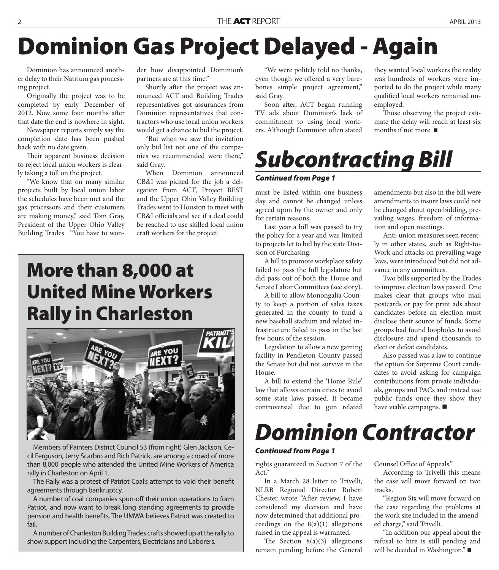# **Dominion Gas Project Delayed - Again**

Dominion has announced another delay to their Natrium gas processing project.

Originally the project was to be completed by early December of 2012. Now some four months after that date the end is nowhere in sight.

Newspaper reports simply say the completion date has been pushed back with no date given.

Their apparent business decision to reject local union workers is clearly taking a toll on the project.

"We know that on many similar projects built by local union labor the schedules have been met and the gas processors and their customers are making money," said Tom Gray, President of the Upper Ohio Valley Building Trades. "You have to wonder how disappointed Dominion's partners are at this time."

Shortly after the project was announced ACT and Building Trades representatives got assurances from Dominion representatives that contractors who use local union workers would get a chance to bid the project.

"But when we saw the invitation only bid list not one of the companies we recommended were there," said Gray.

When Dominion announced CB&I was picked for the job a delegation from ACT, Project BEST and the Upper Ohio Valley Building Trades went to Houston to meet with CB&I officials and see if a deal could be reached to use skilled local union craft workers for the project.

## **More than 8,000 at United Mine Workers Rally in Charleston**



Members of Painters District Council 53 (from right) Glen Jackson, Cecil Ferguson, Jerry Scarbro and Rich Patrick, are among a crowd of more than 8,000 people who attended the United Mine Workers of America rally in Charleston on April 1.

The Rally was a protest of Patriot Coal's attempt to void their benefit agreements through bankruptcy.

A number of coal companies spun-off their union operations to form Patriot, and now want to break long standing agreements to provide pension and health benefits. The UMWA believes Patriot was created to fail.

A number of Charleston Building Trades crafts showed up at the rally to show support including the Carpenters, Electricians and Laborers.

"We were politely told no thanks, even though we offered a very barebones simple project agreement," said Gray.

Soon after, ACT began running TV ads about Dominion's lack of commitment to using local workers. Although Dominion often stated

they wanted local workers the reality was hundreds of workers were imported to do the project while many qualified local workers remained unemployed.

Those observing the project estimate the delay will reach at least six months if not more.

## *Subcontracting Bill*

#### *Continued from Page 1*

must be listed within one business day and cannot be changed unless agreed upon by the owner and only for certain reasons.

Last year a bill was passed to try the policy for a year and was limited to projects let to bid by the state Division of Purchasing.

A bill to promote workplace safety failed to pass the full legislature but did pass out of both the House and Senate Labor Committees (see story).

A bill to allow Monongalia County to keep a portion of sales taxes generated in the county to fund a new baseball stadium and related infrastructure failed to pass in the last few hours of the session.

Legislation to allow a new gaming facility in Pendleton County passed the Senate but did not survive in the House.

A bill to extend the 'Home Rule' law that allows certain cities to avoid some state laws passed. It became controversial due to gun related amendments but also in the bill were amendments to insure laws could not be changed about open bidding, prevailing wages, freedom of information and open meetings.

Anti-union measures seen recently in other states, such as Right-to-Work and attacks on prevailing wage laws, were introduced but did not advance in any committees.

Two bills supported by the Trades to improve election laws passed. One makes clear that groups who mail postcards or pay for print ads about candidates before an election must disclose their source of funds. Some groups had found loopholes to avoid disclosure and spend thousands to elect or defeat candidates.

Also passed was a law to continue the option for Supreme Court candidates to avoid asking for campaign contributions from private individuals, groups and PACs and instead use public funds once they show they have viable campaigns.

## *Dominion Contractor*

#### *Continued from Page 1*

rights guaranteed in Section 7 of the Act."

In a March 28 letter to Trivelli, NLRB Regional Director Robert Chester wrote "After review, I have considered my decision and have now determined that additional proceedings on the  $8(a)(1)$  allegations raised in the appeal is warranted.

The Section  $8(a)(3)$  allegations remain pending before the General Counsel Office of Appeals."

According to Trivelli this means the case will move forward on two tracks.

"Region Six will move forward on the case regarding the problems at the work site included in the amended charge," said Trivelli.

"In addition our appeal about the refusal to hire is still pending and will be decided in Washington."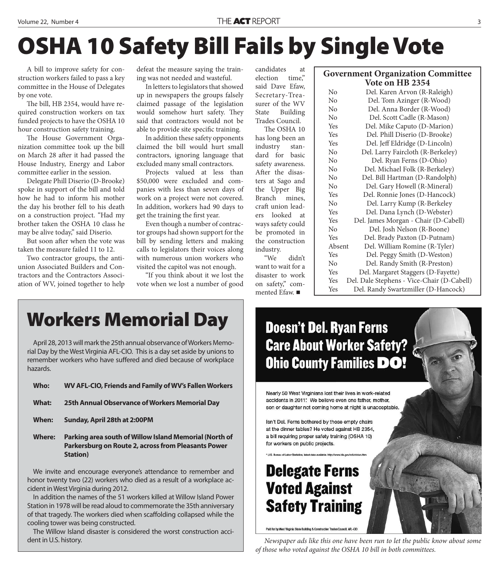# **OSHA 10 Safety Bill Fails by Single Vote**

A bill to improve safety for construction workers failed to pass a key committee in the House of Delegates by one vote.

The bill, HB 2354, would have required construction workers on tax funded projects to have the OSHA 10 hour construction safety training.

The House Government Organization committee took up the bill on March 28 after it had passed the House Industry, Energy and Labor committee earlier in the session.

Delegate Phill Diserio (D-Brooke) spoke in support of the bill and told how he had to inform his mother the day his brother fell to his death on a construction project. "Had my brother taken the OSHA 10 class he may be alive today," said Diserio.

But soon after when the vote was taken the measure failed 11 to 12.

Two contractor groups, the antiunion Associated Builders and Contractors and the Contractors Association of WV, joined together to help defeat the measure saying the training was not needed and wasteful.

In letters to legislators that showed up in newspapers the groups falsely claimed passage of the legislation would somehow hurt safety. They said that contractors would not be able to provide site specific training.

In addition these safety opponents claimed the bill would hurt small contractors, ignoring language that excluded many small contractors.

Projects valued at less than \$50,000 were excluded and companies with less than seven days of work on a project were not covered. In addition, workers had 90 days to get the training the first year.

Even though a number of contractor groups had shown support for the bill by sending letters and making calls to legislators their voices along with numerous union workers who visited the capitol was not enough.

"If you think about it we lost the vote when we lost a number of good candidates election time," said Dave Efaw, Secretary-Treasurer of the WV State Building Trades Council.

The OSHA 10 has long been an industry standard for basic safety awareness. After the disasters at Sago and the Upper Big Branch mines, craft union leaders looked at ways safety could be promoted in the construction industry.

"We didn't want to wait for a disaster to work on safety," commented Efaw.

| <b>Government Organization Committee</b> |
|------------------------------------------|
| Vote on HB 2354                          |

| No             | Del. Karen Arvon (R-Raleigh)               |
|----------------|--------------------------------------------|
| No             | Del. Tom Azinger (R-Wood)                  |
| No             | Del. Anna Border (R-Wood)                  |
| No             | Del. Scott Cadle (R-Mason)                 |
| Yes            | Del. Mike Caputo (D-Marion)                |
| Yes            | Del. Phill Diserio (D-Brooke)              |
| Yes            | Del. Jeff Eldridge (D-Lincoln)             |
| No             | Del. Larry Faircloth (R-Berkeley)          |
| No             | Del. Ryan Ferns (D-Ohio)                   |
| No             | Del. Michael Folk (R-Berkeley)             |
| No             | Del. Bill Hartman (D-Randolph)             |
| No             | Del. Gary Howell (R-Mineral)               |
| Yes            | Del. Ronnie Jones (D-Hancock)              |
| No             | Del. Larry Kump (R-Berkeley                |
| Yes            | Del. Dana Lynch (D-Webster)                |
| Yes            | Del. James Morgan - Chair (D-Cabell)       |
| No             | Del. Josh Nelson (R-Boone)                 |
| Yes            | Del. Brady Paxton (D-Putnam)               |
| Absent         | Del. William Romine (R-Tyler)              |
| Yes            | Del. Peggy Smith (D-Weston)                |
| N <sub>0</sub> | Del. Randy Smith (R-Preston)               |
| <b>Yes</b>     | Del. Margaret Staggers (D-Fayette)         |
| Yes            | Del. Dale Stephens - Vice-Chair (D-Cabell) |
| Yes            | Del. Randy Swartzmiller (D-Hancock)        |

### **Workers Memorial Day**

April 28, 2013 will mark the 25th annual observance of Workers Memorial Day by the West Virginia AFL-CIO. This is a day set aside by unions to remember workers who have suffered and died because of workplace hazards.

| Who:  | WV AFL-CIO, Friends and Family of WV's Fallen Workers |
|-------|-------------------------------------------------------|
| What: | 25th Annual Observance of Workers Memorial Day        |
| When: | Sunday, April 28th at 2:00PM                          |

**Where: Parking area south of Willow Island Memorial (North of Parkersburg on Route 2, across from Pleasants Power Station)**

We invite and encourage everyone's attendance to remember and honor twenty two (22) workers who died as a result of a workplace accident in West Virginia during 2012.

In addition the names of the 51 workers killed at Willow Island Power Station in 1978 will be read aloud to commemorate the 35th anniversary of that tragedy. The workers died when scaffolding collapsed while the cooling tower was being constructed.

The Willow Island disaster is considered the worst construction accident in U.S. history.

### **Doesn't Del. Ryan Ferns Care About Worker Safety? Ohio County Families DO!**

Nearly 50 West Virginians lost their lives in work-related accidents in 2011. We believe even one father, mother, son or daughter not coming home at night is unacceptable.

Isn't Del. Ferns bothered by those empty chairs at the dinner tables? He voted against HB 2354. a bill requiring proper safety training (OSHA 10) for workers on public projects.

#### **Delegate Ferns Voted Against Safety Training**

Paid for by West Virginia State Building & Construction Trades Council, AFL-CIO

*Newspaper ads like this one have been run to let the public know about some of those who voted against the OSHA 10 bill in both committees.*